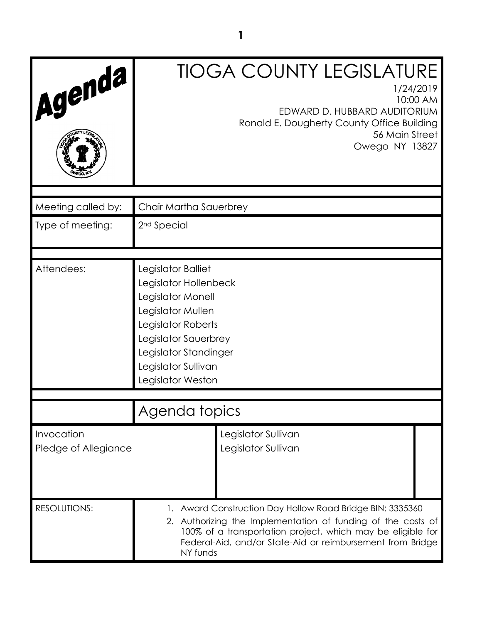| Agenda                             | <b>TIOGA COUNTY LEGISLATURE</b><br>1/24/2019<br>10:00 AM<br>EDWARD D. HUBBARD AUDITORIUM<br>Ronald E. Dougherty County Office Building<br>56 Main Street<br>Owego NY 13827                                                                                         |
|------------------------------------|--------------------------------------------------------------------------------------------------------------------------------------------------------------------------------------------------------------------------------------------------------------------|
|                                    |                                                                                                                                                                                                                                                                    |
| Meeting called by:                 | Chair Martha Sauerbrey                                                                                                                                                                                                                                             |
| Type of meeting:                   | 2 <sup>nd</sup> Special                                                                                                                                                                                                                                            |
| Attendees:                         | Legislator Balliet<br>Legislator Hollenbeck<br>Legislator Monell<br>Legislator Mullen<br>Legislator Roberts<br>Legislator Sauerbrey<br>Legislator Standinger<br>Legislator Sullivan<br>Legislator Weston                                                           |
|                                    | Agenda topics                                                                                                                                                                                                                                                      |
| Invocation<br>Pledge of Allegiance | Legislator Sullivan<br>Legislator Sullivan                                                                                                                                                                                                                         |
| <b>RESOLUTIONS:</b>                | 1. Award Construction Day Hollow Road Bridge BIN: 3335360<br>2. Authorizing the Implementation of funding of the costs of<br>100% of a transportation project, which may be eligible for<br>Federal-Aid, and/or State-Aid or reimbursement from Bridge<br>NY funds |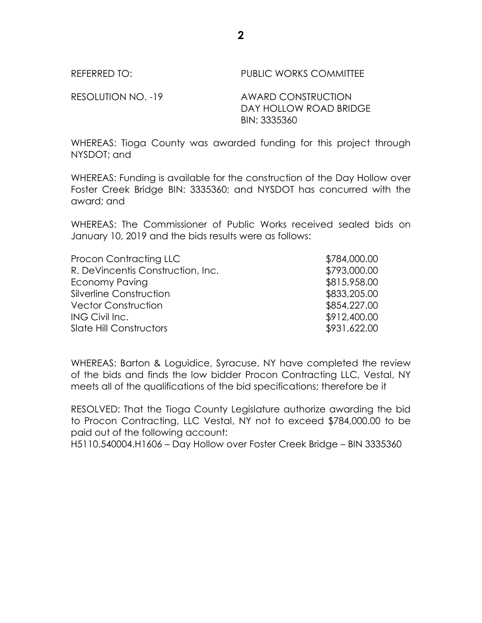REFERRED TO: PUBLIC WORKS COMMITTEE

RESOLUTION NO. -19 AWARD CONSTRUCTION

DAY HOLLOW ROAD BRIDGE BIN: 3335360

WHEREAS: Tioga County was awarded funding for this project through NYSDOT; and

WHEREAS: Funding is available for the construction of the Day Hollow over Foster Creek Bridge BIN: 3335360; and NYSDOT has concurred with the award; and

WHEREAS: The Commissioner of Public Works received sealed bids on January 10, 2019 and the bids results were as follows:

| Procon Contracting LLC            | \$784,000.00 |
|-----------------------------------|--------------|
| R. DeVincentis Construction, Inc. | \$793,000.00 |
| Economy Paving                    | \$815,958.00 |
| Silverline Construction           | \$833,205.00 |
| <b>Vector Construction</b>        | \$854,227.00 |
| ING Civil Inc.                    | \$912,400.00 |
| <b>Slate Hill Constructors</b>    | \$931,622.00 |

WHEREAS: Barton & Loguidice, Syracuse, NY have completed the review of the bids and finds the low bidder Procon Contracting LLC, Vestal, NY meets all of the qualifications of the bid specifications; therefore be it

RESOLVED: That the Tioga County Legislature authorize awarding the bid to Procon Contracting, LLC Vestal, NY not to exceed \$784,000.00 to be paid out of the following account:

H5110.540004.H1606 – Day Hollow over Foster Creek Bridge – BIN 3335360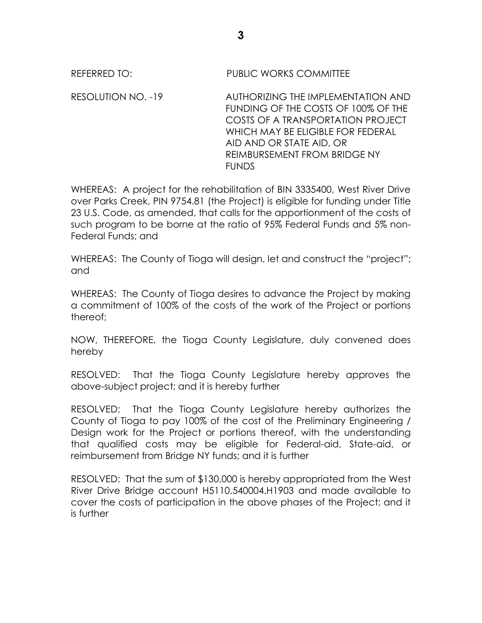## REFERRED TO: PUBLIC WORKS COMMITTEE

RESOLUTION NO. -19 AUTHORIZING THE IMPLEMENTATION AND FUNDING OF THE COSTS OF 100% OF THE COSTS OF A TRANSPORTATION PROJECT WHICH MAY BE ELIGIBLE FOR FEDERAL AID AND OR STATE AID, OR REIMBURSEMENT FROM BRIDGE NY FUNDS

WHEREAS: A project for the rehabilitation of BIN 3335400, West River Drive over Parks Creek, PIN 9754.81 (the Project) is eligible for funding under Title 23 U.S. Code, as amended, that calls for the apportionment of the costs of such program to be borne at the ratio of 95% Federal Funds and 5% non-Federal Funds; and

WHEREAS: The County of Tioga will design, let and construct the "project"; and

WHEREAS: The County of Tioga desires to advance the Project by making a commitment of 100% of the costs of the work of the Project or portions thereof;

NOW, THEREFORE, the Tioga County Legislature, duly convened does hereby

RESOLVED: That the Tioga County Legislature hereby approves the above-subject project; and it is hereby further

RESOLVED: That the Tioga County Legislature hereby authorizes the County of Tioga to pay 100% of the cost of the Preliminary Engineering / Design work for the Project or portions thereof, with the understanding that qualified costs may be eligible for Federal-aid, State-aid, or reimbursement from Bridge NY funds; and it is further

RESOLVED: That the sum of \$130,000 is hereby appropriated from the West River Drive Bridge account H5110.540004.H1903 and made available to cover the costs of participation in the above phases of the Project; and it is further